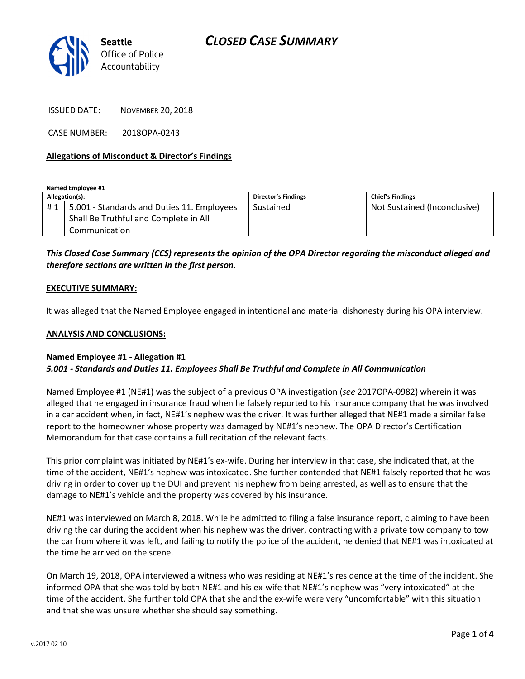

ISSUED DATE: NOVEMBER 20, 2018

CASE NUMBER: 2018OPA-0243

### Allegations of Misconduct & Director's Findings

Named Employee #1

| Allegation(s): |                                            | <b>Director's Findings</b> | <b>Chief's Findings</b>      |
|----------------|--------------------------------------------|----------------------------|------------------------------|
| #1             | 5.001 - Standards and Duties 11. Employees | Sustained                  | Not Sustained (Inconclusive) |
|                | Shall Be Truthful and Complete in All      |                            |                              |
|                | Communication                              |                            |                              |

This Closed Case Summary (CCS) represents the opinion of the OPA Director regarding the misconduct alleged and therefore sections are written in the first person.

#### EXECUTIVE SUMMARY:

It was alleged that the Named Employee engaged in intentional and material dishonesty during his OPA interview.

#### ANALYSIS AND CONCLUSIONS:

### Named Employee #1 - Allegation #1 5.001 - Standards and Duties 11. Employees Shall Be Truthful and Complete in All Communication

Named Employee #1 (NE#1) was the subject of a previous OPA investigation (see 2017OPA-0982) wherein it was alleged that he engaged in insurance fraud when he falsely reported to his insurance company that he was involved in a car accident when, in fact, NE#1's nephew was the driver. It was further alleged that NE#1 made a similar false report to the homeowner whose property was damaged by NE#1's nephew. The OPA Director's Certification Memorandum for that case contains a full recitation of the relevant facts.

This prior complaint was initiated by NE#1's ex-wife. During her interview in that case, she indicated that, at the time of the accident, NE#1's nephew was intoxicated. She further contended that NE#1 falsely reported that he was driving in order to cover up the DUI and prevent his nephew from being arrested, as well as to ensure that the damage to NE#1's vehicle and the property was covered by his insurance.

NE#1 was interviewed on March 8, 2018. While he admitted to filing a false insurance report, claiming to have been driving the car during the accident when his nephew was the driver, contracting with a private tow company to tow the car from where it was left, and failing to notify the police of the accident, he denied that NE#1 was intoxicated at the time he arrived on the scene.

On March 19, 2018, OPA interviewed a witness who was residing at NE#1's residence at the time of the incident. She informed OPA that she was told by both NE#1 and his ex-wife that NE#1's nephew was "very intoxicated" at the time of the accident. She further told OPA that she and the ex-wife were very "uncomfortable" with this situation and that she was unsure whether she should say something.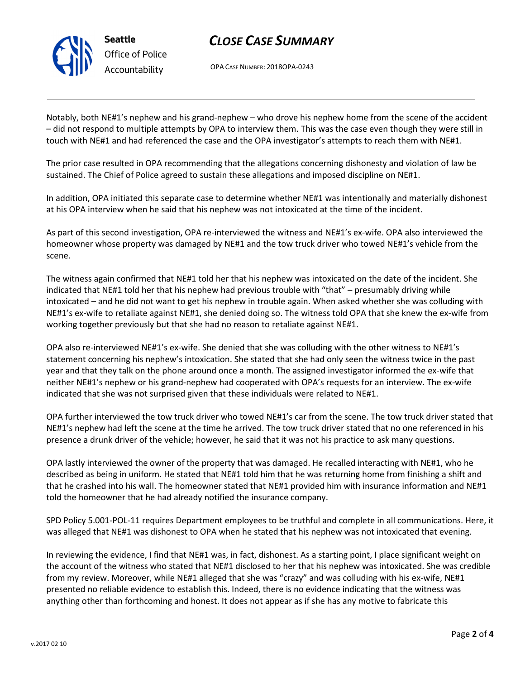

# CLOSE CASE SUMMARY

OPA CASE NUMBER: 2018OPA-0243

Notably, both NE#1's nephew and his grand-nephew – who drove his nephew home from the scene of the accident – did not respond to multiple attempts by OPA to interview them. This was the case even though they were still in touch with NE#1 and had referenced the case and the OPA investigator's attempts to reach them with NE#1.

The prior case resulted in OPA recommending that the allegations concerning dishonesty and violation of law be sustained. The Chief of Police agreed to sustain these allegations and imposed discipline on NE#1.

In addition, OPA initiated this separate case to determine whether NE#1 was intentionally and materially dishonest at his OPA interview when he said that his nephew was not intoxicated at the time of the incident.

As part of this second investigation, OPA re-interviewed the witness and NE#1's ex-wife. OPA also interviewed the homeowner whose property was damaged by NE#1 and the tow truck driver who towed NE#1's vehicle from the scene.

The witness again confirmed that NE#1 told her that his nephew was intoxicated on the date of the incident. She indicated that NE#1 told her that his nephew had previous trouble with "that" – presumably driving while intoxicated – and he did not want to get his nephew in trouble again. When asked whether she was colluding with NE#1's ex-wife to retaliate against NE#1, she denied doing so. The witness told OPA that she knew the ex-wife from working together previously but that she had no reason to retaliate against NE#1.

OPA also re-interviewed NE#1's ex-wife. She denied that she was colluding with the other witness to NE#1's statement concerning his nephew's intoxication. She stated that she had only seen the witness twice in the past year and that they talk on the phone around once a month. The assigned investigator informed the ex-wife that neither NE#1's nephew or his grand-nephew had cooperated with OPA's requests for an interview. The ex-wife indicated that she was not surprised given that these individuals were related to NE#1.

OPA further interviewed the tow truck driver who towed NE#1's car from the scene. The tow truck driver stated that NE#1's nephew had left the scene at the time he arrived. The tow truck driver stated that no one referenced in his presence a drunk driver of the vehicle; however, he said that it was not his practice to ask many questions.

OPA lastly interviewed the owner of the property that was damaged. He recalled interacting with NE#1, who he described as being in uniform. He stated that NE#1 told him that he was returning home from finishing a shift and that he crashed into his wall. The homeowner stated that NE#1 provided him with insurance information and NE#1 told the homeowner that he had already notified the insurance company.

SPD Policy 5.001-POL-11 requires Department employees to be truthful and complete in all communications. Here, it was alleged that NE#1 was dishonest to OPA when he stated that his nephew was not intoxicated that evening.

In reviewing the evidence, I find that NE#1 was, in fact, dishonest. As a starting point, I place significant weight on the account of the witness who stated that NE#1 disclosed to her that his nephew was intoxicated. She was credible from my review. Moreover, while NE#1 alleged that she was "crazy" and was colluding with his ex-wife, NE#1 presented no reliable evidence to establish this. Indeed, there is no evidence indicating that the witness was anything other than forthcoming and honest. It does not appear as if she has any motive to fabricate this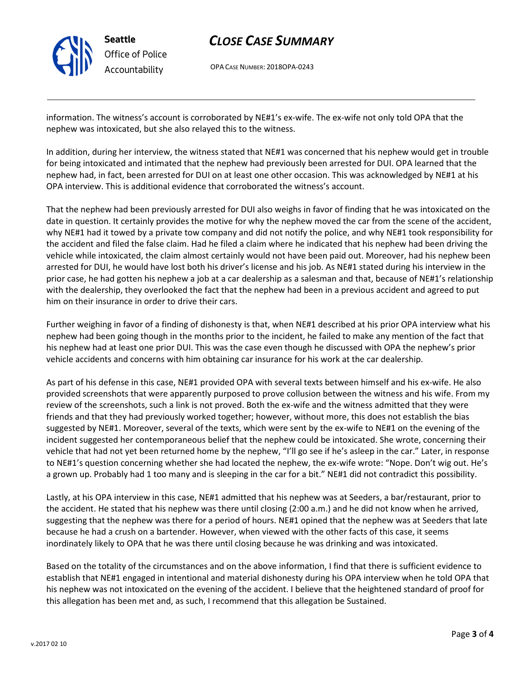

# CLOSE CASE SUMMARY

OPA CASE NUMBER: 2018OPA-0243

information. The witness's account is corroborated by NE#1's ex-wife. The ex-wife not only told OPA that the nephew was intoxicated, but she also relayed this to the witness.

In addition, during her interview, the witness stated that NE#1 was concerned that his nephew would get in trouble for being intoxicated and intimated that the nephew had previously been arrested for DUI. OPA learned that the nephew had, in fact, been arrested for DUI on at least one other occasion. This was acknowledged by NE#1 at his OPA interview. This is additional evidence that corroborated the witness's account.

That the nephew had been previously arrested for DUI also weighs in favor of finding that he was intoxicated on the date in question. It certainly provides the motive for why the nephew moved the car from the scene of the accident, why NE#1 had it towed by a private tow company and did not notify the police, and why NE#1 took responsibility for the accident and filed the false claim. Had he filed a claim where he indicated that his nephew had been driving the vehicle while intoxicated, the claim almost certainly would not have been paid out. Moreover, had his nephew been arrested for DUI, he would have lost both his driver's license and his job. As NE#1 stated during his interview in the prior case, he had gotten his nephew a job at a car dealership as a salesman and that, because of NE#1's relationship with the dealership, they overlooked the fact that the nephew had been in a previous accident and agreed to put him on their insurance in order to drive their cars.

Further weighing in favor of a finding of dishonesty is that, when NE#1 described at his prior OPA interview what his nephew had been going though in the months prior to the incident, he failed to make any mention of the fact that his nephew had at least one prior DUI. This was the case even though he discussed with OPA the nephew's prior vehicle accidents and concerns with him obtaining car insurance for his work at the car dealership.

As part of his defense in this case, NE#1 provided OPA with several texts between himself and his ex-wife. He also provided screenshots that were apparently purposed to prove collusion between the witness and his wife. From my review of the screenshots, such a link is not proved. Both the ex-wife and the witness admitted that they were friends and that they had previously worked together; however, without more, this does not establish the bias suggested by NE#1. Moreover, several of the texts, which were sent by the ex-wife to NE#1 on the evening of the incident suggested her contemporaneous belief that the nephew could be intoxicated. She wrote, concerning their vehicle that had not yet been returned home by the nephew, "I'll go see if he's asleep in the car." Later, in response to NE#1's question concerning whether she had located the nephew, the ex-wife wrote: "Nope. Don't wig out. He's a grown up. Probably had 1 too many and is sleeping in the car for a bit." NE#1 did not contradict this possibility.

Lastly, at his OPA interview in this case, NE#1 admitted that his nephew was at Seeders, a bar/restaurant, prior to the accident. He stated that his nephew was there until closing (2:00 a.m.) and he did not know when he arrived, suggesting that the nephew was there for a period of hours. NE#1 opined that the nephew was at Seeders that late because he had a crush on a bartender. However, when viewed with the other facts of this case, it seems inordinately likely to OPA that he was there until closing because he was drinking and was intoxicated.

Based on the totality of the circumstances and on the above information, I find that there is sufficient evidence to establish that NE#1 engaged in intentional and material dishonesty during his OPA interview when he told OPA that his nephew was not intoxicated on the evening of the accident. I believe that the heightened standard of proof for this allegation has been met and, as such, I recommend that this allegation be Sustained.